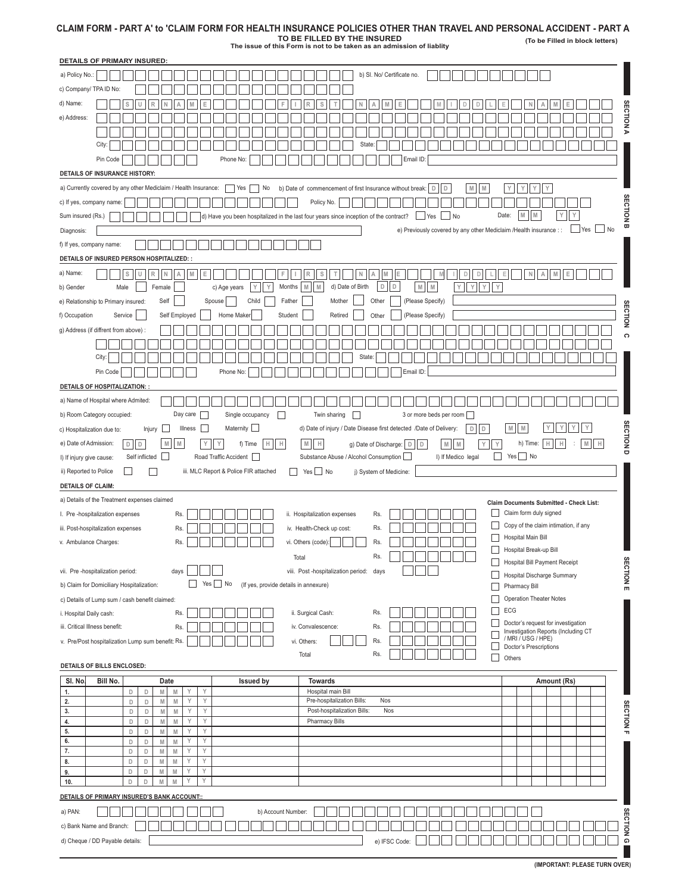## **CLAIM FORM - PART A' to 'CLAIM FORM FOR HEALTH INSURANCE POLICIES OTHER THAN TRAVEL AND PERSONAL ACCIDENT - PART A**

**TO BE FILLED BY THE INSURED The issue of this Form is not to be taken as an admission of liablity**

**(To be Filled in block letters)**

| <b>DETAILS OF PRIMARY INSURED:</b>                                                                                                                                                                                                     |                                                                           |  |  |  |  |
|----------------------------------------------------------------------------------------------------------------------------------------------------------------------------------------------------------------------------------------|---------------------------------------------------------------------------|--|--|--|--|
| b) SI. No/ Certificate no.<br>a) Policy No.:                                                                                                                                                                                           |                                                                           |  |  |  |  |
| c) Company/ TPA ID No:                                                                                                                                                                                                                 |                                                                           |  |  |  |  |
| d) Name:<br>S<br>A<br>S<br>N<br>M<br>R<br>Е                                                                                                                                                                                            | Е                                                                         |  |  |  |  |
| e) Address:                                                                                                                                                                                                                            | <b>SECTION</b>                                                            |  |  |  |  |
|                                                                                                                                                                                                                                        | $\blacktriangleright$                                                     |  |  |  |  |
| City:<br><b>State</b>                                                                                                                                                                                                                  |                                                                           |  |  |  |  |
| Pin Code<br>Phone No:<br>Email ID:                                                                                                                                                                                                     |                                                                           |  |  |  |  |
| DETAILS OF INSURANCE HISTORY:                                                                                                                                                                                                          |                                                                           |  |  |  |  |
| a) Currently covered by any other Mediclaim / Health Insurance:<br>b) Date of commencement of first Insurance without break: $\boxed{D}$ $\boxed{D}$<br>M   M<br>Yes<br>No                                                             | Υ<br>Υ<br>Υ<br>Y                                                          |  |  |  |  |
| c) If yes, company name:<br>Policy No.                                                                                                                                                                                                 |                                                                           |  |  |  |  |
| Sum insured (Rs.)<br>$\Box$ Yes $\Box$ No<br>d) Have you been hospitalized in the last four years since inception of the contract?                                                                                                     | <b>SECTION</b><br>M<br>M<br>Υ<br>Date:<br>Υ                               |  |  |  |  |
| e) Previously covered by any other Mediclaim /Health insurance : :<br>Diagnosis:                                                                                                                                                       | ω<br>$ $ No<br>Yes                                                        |  |  |  |  |
| f) If yes, company name:                                                                                                                                                                                                               |                                                                           |  |  |  |  |
| DETAILS OF INSURED PERSON HOSPITALIZED: :                                                                                                                                                                                              |                                                                           |  |  |  |  |
| a) Name:<br>${\mathbb M}$<br>$\mathbb R$<br>$\mathbb N$<br>Α<br>Ε<br>$\mathbb M$<br>E<br>$\mathsf D$<br>$\mathbb D$<br>S<br>U<br>F<br>S<br>N<br>Α<br>R                                                                                 | $\mathbb N$<br>${\mathbb M}$<br>IE.<br>$\mathsf E$<br>А                   |  |  |  |  |
| $\mathbb D$<br>D<br>$\mathbbmss{M}$<br>$\mathbbmss{M}$<br>Y<br>$\mathsf{Y}$<br>Y<br>d) Date of Birth<br>$\,$ Y $\,$<br>Y<br>Male<br>Female<br>c) Age years<br>Y<br>Months<br>M<br>$\mathbb M$<br>b) Gender                             |                                                                           |  |  |  |  |
| Self<br>Spouse<br>Child<br>Mother<br>Other<br>(Please Specify)<br>Father<br>e) Relationship to Primary insured:                                                                                                                        |                                                                           |  |  |  |  |
| f) Occupation<br>Service<br>Self Employed<br>Student<br>Retired<br>(Please Specify)<br>Home Maker<br>Other                                                                                                                             | <b>SECTION</b>                                                            |  |  |  |  |
| g) Address (if diffrent from above) :                                                                                                                                                                                                  |                                                                           |  |  |  |  |
|                                                                                                                                                                                                                                        | $\Omega$                                                                  |  |  |  |  |
| City:<br>State                                                                                                                                                                                                                         |                                                                           |  |  |  |  |
| Pin Code<br>Email ID:                                                                                                                                                                                                                  |                                                                           |  |  |  |  |
| Phone No:                                                                                                                                                                                                                              |                                                                           |  |  |  |  |
| <b>DETAILS OF HOSPITALIZATION: :</b>                                                                                                                                                                                                   |                                                                           |  |  |  |  |
| a) Name of Hospital where Admited:                                                                                                                                                                                                     |                                                                           |  |  |  |  |
| Day care<br>Twin sharing<br>3 or more beds per room<br>b) Room Category occupied:<br>Single occupancy<br>$\perp$                                                                                                                       |                                                                           |  |  |  |  |
| Maternity  <br>d) Date of injury / Date Disease first detected /Date of Delivery:<br>Illness<br>$\mathsf D$<br>D<br>c) Hospitalization due to:<br>Injury                                                                               | <b>SECTIOND</b><br>$\mathbbmss{M}$<br>Υ<br>Υ                              |  |  |  |  |
| ${\sf M}$<br>$\mathbbmss{M}$<br>e) Date of Admission:<br>${\mathbb M}$<br>H<br>H<br>$\mathbb H$<br>D<br>M<br>$\mathbbmss{M}$<br>Υ<br>$\mathbb D$<br>f) Time<br>g) Date of Discharge:<br>$\mathbb D$<br>$\mathbb D$<br>Y                | h) Time:<br>Н<br>${\mathbb M}$<br>н<br>H<br>÷                             |  |  |  |  |
| П<br>Self inflicted <b>D</b><br>Substance Abuse / Alcohol Consumption<br>Road Traffic Accident<br>I) If Medico legal<br>I) If injury give cause:                                                                                       |                                                                           |  |  |  |  |
|                                                                                                                                                                                                                                        | $Yes \Box No$                                                             |  |  |  |  |
| iii. MLC Report & Police FIR attached<br>$Yes \bigsqcup No$<br>ii) Reported to Police<br>j) System of Medicine:                                                                                                                        |                                                                           |  |  |  |  |
| <b>DETAILS OF CLAIM:</b>                                                                                                                                                                                                               |                                                                           |  |  |  |  |
| a) Details of the Treatment expenses claimed                                                                                                                                                                                           | Claim Documents Submitted - Check List:                                   |  |  |  |  |
| ii. Hospitalization expenses<br>I. Pre-hospitalization expenses<br>Rs.<br>Rs.                                                                                                                                                          | Claim form duly signed                                                    |  |  |  |  |
| iii. Post-hospitalization expenses<br>Rs.<br>iv. Health-Check up cost:<br>Rs.                                                                                                                                                          | Copy of the claim intimation, if any                                      |  |  |  |  |
| Г<br>Rs.<br>v. Ambulance Charges:<br>Rs.<br>vi. Others (code):                                                                                                                                                                         | Hospital Main Bill                                                        |  |  |  |  |
| Rs.<br>Total                                                                                                                                                                                                                           | Hospital Break-up Bill<br><b>Hospital Bill Payment Receipt</b>            |  |  |  |  |
| vii. Pre-hospitalization period:<br>viii. Post-hospitalization period: days<br>days                                                                                                                                                    | Hospital Discharge Summary                                                |  |  |  |  |
| $Yes \bigsqcup No$<br>(If yes, provide details in annexure)<br>b) Claim for Domiciliary Hospitalization:                                                                                                                               | <b>SECTION</b><br>Pharmacy Bill<br>m                                      |  |  |  |  |
| c) Details of Lump sum / cash benefit claimed:                                                                                                                                                                                         | <b>Operation Theater Notes</b>                                            |  |  |  |  |
| Rs.<br>Rs.<br>i. Hospital Daily cash:<br>ii. Surgical Cash:                                                                                                                                                                            | ECG                                                                       |  |  |  |  |
| iii. Critical Illness benefit:<br>iv. Convalescence:<br>Rs.<br>Rs.                                                                                                                                                                     | Doctor's request for investigation<br>Investigation Reports (Including CT |  |  |  |  |
| v. Pre/Post hospitalization Lump sum benefit: Rs.<br>vi. Others:<br>Rs.                                                                                                                                                                | / MRI / USG / HPE)                                                        |  |  |  |  |
| Rs.<br>Total<br>П                                                                                                                                                                                                                      | Doctor's Prescriptions<br>Others                                          |  |  |  |  |
| DETAILS OF BILLS ENCLOSED:                                                                                                                                                                                                             |                                                                           |  |  |  |  |
| SI. No.<br>Bill No.<br>Date<br><b>Towards</b><br><b>Issued by</b><br>Y<br>Υ                                                                                                                                                            | Amount (Rs)                                                               |  |  |  |  |
| $\mathsf{M}% _{T}=\mathsf{M}_{T}\!\left( a,b\right) ,\ \mathsf{M}_{T}=\mathsf{M}_{T}\!\left( a,b\right) ,$<br>M<br>Hospital main Bill<br>D<br>D<br>1.<br>Pre-hospitalization Bills:<br>Y<br>Υ<br>Nos<br>2.<br>D<br>D<br>${\sf M}$<br>M |                                                                           |  |  |  |  |
| 3.<br>Y<br>Post-hospitalization Bills:<br>Y<br>Nos<br>D<br>M<br>M<br>D                                                                                                                                                                 |                                                                           |  |  |  |  |
| Y<br>Υ<br>4.<br>D<br>D<br>M<br>$\mathbb M$<br><b>Pharmacy Bills</b><br>Y<br>5.<br>D<br>D<br>Y<br>M<br>M                                                                                                                                | <b>SECTION</b><br>m                                                       |  |  |  |  |
| 6.<br>Υ<br>Υ<br>D<br>D<br>$\mathbb N$<br>$\mathsf{M}% _{T}=\mathsf{M}_{T}\!\left( a,b\right) ,\ \mathsf{M}_{T}=\mathsf{M}_{T}\!\left( a,b\right) ,$                                                                                    |                                                                           |  |  |  |  |
| 7.<br>Y<br>D<br>Y<br>D<br>M<br>M                                                                                                                                                                                                       |                                                                           |  |  |  |  |
| Y<br>8.<br>D<br>D<br>M<br>M<br>Υ<br>Y<br>Υ<br>D<br>D<br>M<br>M<br>9.                                                                                                                                                                   |                                                                           |  |  |  |  |
| Y<br>10.<br>D<br>D<br>M<br>M<br>γ                                                                                                                                                                                                      |                                                                           |  |  |  |  |
| DETAILS OF PRIMARY INSURED'S BANK ACCOUNT::                                                                                                                                                                                            |                                                                           |  |  |  |  |
| a) PAN:<br>b) Account Number:                                                                                                                                                                                                          |                                                                           |  |  |  |  |
| c) Bank Name and Branch:                                                                                                                                                                                                               |                                                                           |  |  |  |  |
| d) Cheque / DD Payable details:<br>e) IFSC Code:                                                                                                                                                                                       | <b>SECTION G</b>                                                          |  |  |  |  |

**(IMPORTANT: PLEASE TURN OVER)**